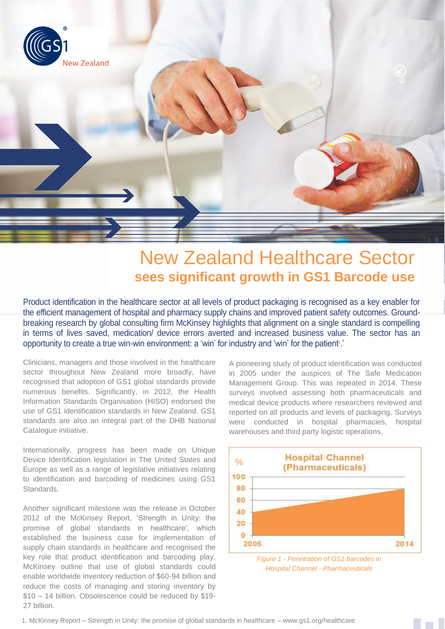

# New Zealand Healthcare Sector **sees significant growth in GS1 Barcode use**

Product identification in the healthcare sector at all levels of product packaging is recognised as a key enabler for the efficient management of hospital and pharmacy supply chains and improved patient safety outcomes. Groundbreaking research by global consulting firm McKinsey highlights that alignment on a single standard is compelling in terms of lives saved, medication/ device errors averted and increased business value. The sector has an opportunity to create a true win-win environment: a 'win' for industry and 'win' for the patient'.'

Clinicians, managers and those involved in the healthcare sector throughout New Zealand more broadly, have recognised that adoption of GS1 global standards provide numerous benefits. Significantly, in 2012, the Health Information Standards Organisation (HISO) endorsed the use of GS1 identification standards in New Zealand. GS1 standards are also an integral part of the DHB National Catalogue initiative.

Internationally, progress has been made on Unique Device Identification legislation in The United States and Europe as well as a range of legislative initiatives relating to identification and barcoding of medicines using GS1 Standards.

Another significant milestone was the release in October 2012 of the McKinsey Report, 'Strength in Unity: the promise of global standards in healthcare', which established the business case for implementation of supply chain standards in healthcare and recognised the key role that product identification and barcoding play. McKinsey outline that use of global standards could enable worldwide inventory reduction of \$60-94 billion and reduce the costs of managing and storing inventory by \$10 – 14 billion. Obsolescence could be reduced by \$19- 27 billion.

A pioneering study of product identification was conducted in 2005 under the auspices of The Safe Medication Management Group. This was repeated in 2014. These surveys involved assessing both pharmaceuticals and medical device products where researchers reviewed and reported on all products and levels of packaging. Surveys were conducted in hospital pharmacies, hospital warehouses and third party logistic operations.



*Figure 1 - Penetration of GS1 barcodes in Hospital Channel - Pharmaceuticals*

1. 1. McKinsey Report – Strength in Unity: the promise of global standards in healthcare – www.gs1.org/healthcare